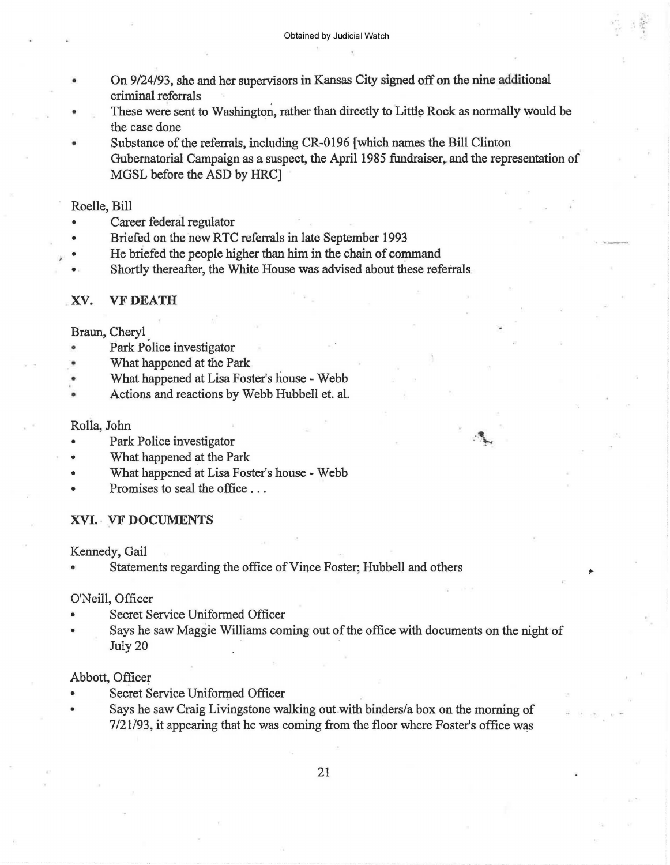- On 9/24/93, she and her supervisors in Kansas City signed off on the nine additional criminal referrals
- These were sent to Washington, rather than directly to Little Rock as normally would be the case done

Substance of the referrals, including CR-0196 [which names the Bill Clinton Gubernatorial Campaign as a suspect, the April 1985 fundraiser, and the representation of MGSL before the ASD by HRC]

Roelle, Bill

- Career federal regulator
- Briefed on the new RTC referrals in late September 1993
- He briefed the people higher than him in the chain of command
- Shortly thereafter, the White House was advised about these referrals

### XV. VFDEATH

Braun, Cheryl

- Park Police investigator
- What happened at the Park
- What happened at Lisa Foster's house Webb
- Actions and reactions by Webb Hubbell et. al.

Rolla, John

- Park Police investigator
- What happened at the Park
- What happened at Lisa Foster's house Webb
- Promises to seal the office ...
- XVI. VF DOCUMENTS

Kennedy, Gail

Statements regarding the office of Vince Foster; Hubbell and others

### O'Neill, Officer

- Secret Service Uniformed Officer
- Says he saw Maggie Williams coming out of the office with documents on the night of July 20

 $\cdot$  .

,.

#### Abbott, Officer

- Secret Service Uniformed Officer
- Says he saw Craig Livingstone walking out with binders/a box on the morning of 7/21/93, it appearing that he was coming from the floor where Foster's office was